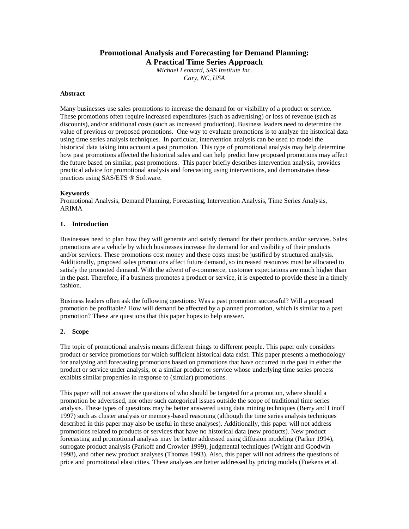# **Promotional Analysis and Forecasting for Demand Planning: A Practical Time Series Approach**

*Michael Leonard, SAS Institute Inc. Cary, NC, USA*

#### **Abstract**

Many businesses use sales promotions to increase the demand for or visibility of a product or service. These promotions often require increased expenditures (such as advertising) or loss of revenue (such as discounts), and/or additional costs (such as increased production). Business leaders need to determine the value of previous or proposed promotions. One way to evaluate promotions is to analyze the historical data using time series analysis techniques. In particular, intervention analysis can be used to model the historical data taking into account a past promotion. This type of promotional analysis may help determine how past promotions affected the historical sales and can help predict how proposed promotions may affect the future based on similar, past promotions. This paper briefly describes intervention analysis, provides practical advice for promotional analysis and forecasting using interventions, and demonstrates these practices using SAS/ETS ® Software.

#### **Keywords**

Promotional Analysis, Demand Planning, Forecasting, Intervention Analysis, Time Series Analysis, ARIMA

# **1. Introduction**

Businesses need to plan how they will generate and satisfy demand for their products and/or services. Sales promotions are a vehicle by which businesses increase the demand for and visibility of their products and/or services. These promotions cost money and these costs must be justified by structured analysis. Additionally, proposed sales promotions affect future demand, so increased resources must be allocated to satisfy the promoted demand. With the advent of e-commerce, customer expectations are much higher than in the past. Therefore, if a business promotes a product or service, it is expected to provide these in a timely fashion.

Business leaders often ask the following questions: Was a past promotion successful? Will a proposed promotion be profitable? How will demand be affected by a planned promotion, which is similar to a past promotion? These are questions that this paper hopes to help answer.

#### **2. Scope**

The topic of promotional analysis means different things to different people. This paper only considers product or service promotions for which sufficient historical data exist. This paper presents a methodology for analyzing and forecasting promotions based on promotions that have occurred in the past in either the product or service under analysis, or a similar product or service whose underlying time series process exhibits similar properties in response to (similar) promotions.

This paper will not answer the questions of who should be targeted for a promotion, where should a promotion be advertised, nor other such categorical issues outside the scope of traditional time series analysis. These types of questions may be better answered using data mining techniques (Berry and Linoff 1997) such as cluster analysis or memory-based reasoning (although the time series analysis techniques described in this paper may also be useful in these analyses). Additionally, this paper will not address promotions related to products or services that have no historical data (new products). New product forecasting and promotional analysis may be better addressed using diffusion modeling (Parker 1994), surrogate product analysis (Parkoff and Crowler 1999), judgmental techniques (Wright and Goodwin 1998), and other new product analyses (Thomas 1993). Also, this paper will not address the questions of price and promotional elasticities. These analyses are better addressed by pricing models (Foekens et al.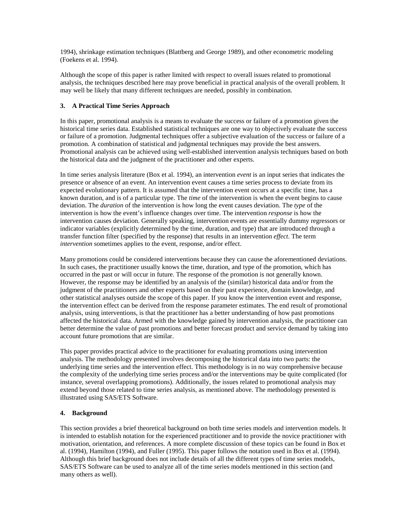1994), shrinkage estimation techniques (Blattberg and George 1989), and other econometric modeling (Foekens et al. 1994).

Although the scope of this paper is rather limited with respect to overall issues related to promotional analysis, the techniques described here may prove beneficial in practical analysis of the overall problem. It may well be likely that many different techniques are needed, possibly in combination.

# **3. A Practical Time Series Approach**

In this paper, promotional analysis is a means to evaluate the success or failure of a promotion given the historical time series data. Established statistical techniques are one way to objectively evaluate the success or failure of a promotion. Judgmental techniques offer a subjective evaluation of the success or failure of a promotion. A combination of statistical and judgmental techniques may provide the best answers. Promotional analysis can be achieved using well-established intervention analysis techniques based on both the historical data and the judgment of the practitioner and other experts.

In time series analysis literature (Box et al. 1994), an intervention *event* is an input series that indicates the presence or absence of an event. An intervention event causes a time series process to deviate from its expected evolutionary pattern. It is assumed that the intervention event occurs at a specific time, has a known duration, and is of a particular type. The *time* of the intervention is when the event begins to cause deviation. The *duration* of the intervention is how long the event causes deviation. The *type* of the intervention is how the event's influence changes over time. The intervention *response* is how the intervention causes deviation. Generally speaking, intervention events are essentially dummy regressors or indicator variables (explicitly determined by the time, duration, and type) that are introduced through a transfer function filter (specified by the response) that results in an intervention *effect*. The term *intervention* sometimes applies to the event, response, and/or effect.

Many promotions could be considered interventions because they can cause the aforementioned deviations. In such cases, the practitioner usually knows the time, duration, and type of the promotion, which has occurred in the past or will occur in future. The response of the promotion is not generally known. However, the response may be identified by an analysis of the (similar) historical data and/or from the judgment of the practitioners and other experts based on their past experience, domain knowledge, and other statistical analyses outside the scope of this paper. If you know the intervention event and response, the intervention effect can be derived from the response parameter estimates. The end result of promotional analysis, using interventions, is that the practitioner has a better understanding of how past promotions affected the historical data. Armed with the knowledge gained by intervention analysis, the practitioner can better determine the value of past promotions and better forecast product and service demand by taking into account future promotions that are similar.

This paper provides practical advice to the practitioner for evaluating promotions using intervention analysis. The methodology presented involves decomposing the historical data into two parts: the underlying time series and the intervention effect. This methodology is in no way comprehensive because the complexity of the underlying time series process and/or the interventions may be quite complicated (for instance, several overlapping promotions). Additionally, the issues related to promotional analysis may extend beyond those related to time series analysis, as mentioned above. The methodology presented is illustrated using SAS/ETS Software.

# **4. Background**

This section provides a brief theoretical background on both time series models and intervention models. It is intended to establish notation for the experienced practitioner and to provide the novice practitioner with motivation, orientation, and references. A more complete discussion of these topics can be found in Box et al. (1994), Hamilton (1994), and Fuller (1995). This paper follows the notation used in Box et al. (1994). Although this brief background does not include details of all the different types of time series models, SAS/ETS Software can be used to analyze all of the time series models mentioned in this section (and many others as well).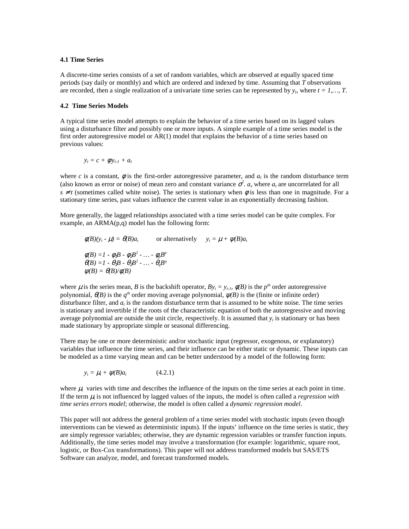#### **4.1 Time Series**

A discrete-time series consists of a set of random variables, which are observed at equally spaced time periods (say daily or monthly) and which are ordered and indexed by time. Assuming that *T* observations are recorded, then a single realization of a univariate time series can be represented by  $y_t$ , where  $t = 1, \ldots, T$ .

#### **4.2 Time Series Models**

A typical time series model attempts to explain the behavior of a time series based on its lagged values using a disturbance filter and possibly one or more inputs. A simple example of a time series model is the first order autoregressive model or AR(1) model that explains the behavior of a time series based on previous values:

$$
y_t = c + \phi y_{t-1} + a_t
$$

where *c* is a constant,  $\phi$  is the first-order autoregressive parameter, and  $a_t$  is the random disturbance term (also known as error or noise) of mean zero and constant variance  $\sigma^2$ .  $a_s$  where  $a_t$  are uncorrelated for all  $s \neq t$  (sometimes called white noise). The series is stationary when  $\phi$  is less than one in magnitude. For a stationary time series, past values influence the current value in an exponentially decreasing fashion.

More generally, the lagged relationships associated with a time series model can be quite complex. For example, an ARMA(p,q) model has the following form:

$$
\phi(B)(y_t - \mu) = \theta(B)a_t \qquad \text{or alternatively} \qquad y_t = \mu + \psi(B)a_t
$$
  
\n
$$
\phi(B) = 1 - \phi_1B - \phi_2B^2 - \dots - \phi_pB^p
$$
  
\n
$$
\theta(B) = 1 - \theta_1B - \theta_2B^2 - \dots - \theta_qB^q
$$
  
\n
$$
\psi(B) = \theta(B)/\phi(B)
$$

where  $\mu$  is the series mean, *B* is the backshift operator,  $By_t = y_{t-1}$ ,  $\phi(B)$  is the  $p^{th}$  order autoregressive polynomial,  $\theta(B)$  is the  $q^{th}$  order moving average polynomial,  $\psi(B)$  is the (finite or infinite order) disturbance filter, and  $a_t$  is the random disturbance term that is assumed to be white noise. The time series is stationary and invertible if the roots of the characteristic equation of both the autoregressive and moving average polynomial are outside the unit circle, respectively. It is assumed that *yt* is stationary or has been made stationary by appropriate simple or seasonal differencing.

There may be one or more deterministic and/or stochastic input (regressor, exogenous, or explanatory) variables that influence the time series, and their influence can be either static or dynamic. These inputs can be modeled as a time varying mean and can be better understood by a model of the following form:

$$
y_t = \mu_t + \psi(B)a_t \qquad (4.2.1)
$$

where  $\mu_t$  varies with time and describes the influence of the inputs on the time series at each point in time. If the term  $\mu$  is not influenced by lagged values of the inputs, the model is often called a *regression with time series errors model*; otherwise, the model is often called a *dynamic regression model*.

This paper will not address the general problem of a time series model with stochastic inputs (even though interventions can be viewed as deterministic inputs). If the inputs' influence on the time series is static, they are simply regressor variables; otherwise, they are dynamic regression variables or transfer function inputs. Additionally, the time series model may involve a transformation (for example: logarithmic, square root, logistic, or Box-Cox transformations). This paper will not address transformed models but SAS/ETS Software can analyze, model, and forecast transformed models.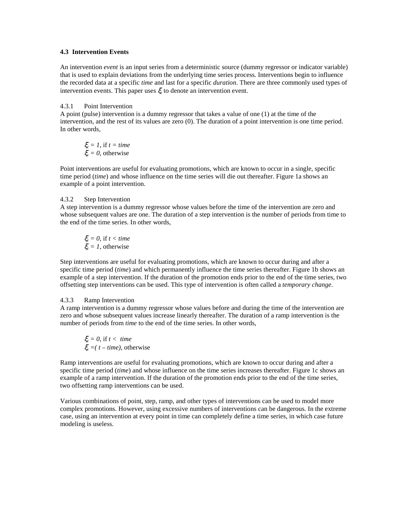#### **4.3 Intervention Events**

An intervention *event* is an input series from a deterministic source (dummy regressor or indicator variable) that is used to explain deviations from the underlying time series process. Interventions begin to influence the recorded data at a specific *time* and last for a specific *duration*. There are three commonly used types of intervention events. This paper uses  $\xi$  to denote an intervention event.

#### 4.3.1 Point Intervention

A point (pulse) intervention is a dummy regressor that takes a value of one (1) at the time of the intervention, and the rest of its values are zero (0). The duration of a point intervention is one time period. In other words,

 $\xi_t = 1$ , if  $t = time$  $\xi = 0$ , otherwise

Point interventions are useful for evaluating promotions, which are known to occur in a single, specific time period (*time*) and whose influence on the time series will die out thereafter. Figure 1a shows an example of a point intervention.

#### 4.3.2 Step Intervention

A step intervention is a dummy regressor whose values before the time of the intervention are zero and whose subsequent values are one. The duration of a step intervention is the number of periods from time to the end of the time series. In other words,

$$
\xi_t = 0, \text{ if } t < time
$$
\n
$$
\xi_t = 1, \text{ otherwise}
$$

Step interventions are useful for evaluating promotions, which are known to occur during and after a specific time period *(time)* and which permanently influence the time series thereafter. Figure 1b shows an example of a step intervention. If the duration of the promotion ends prior to the end of the time series, two offsetting step interventions can be used. This type of intervention is often called a *temporary change*.

#### 4.3.3 Ramp Intervention

A ramp intervention is a dummy regressor whose values before and during the time of the intervention are zero and whose subsequent values increase linearly thereafter. The duration of a ramp intervention is the number of periods from *time* to the end of the time series. In other words,

ξ*<sup>t</sup> = 0*, if *t < time*  $\xi_t = (t - time)$ , otherwise

Ramp interventions are useful for evaluating promotions, which are known to occur during and after a specific time period (*time*) and whose influence on the time series increases thereafter. Figure 1c shows an example of a ramp intervention. If the duration of the promotion ends prior to the end of the time series, two offsetting ramp interventions can be used.

Various combinations of point, step, ramp, and other types of interventions can be used to model more complex promotions. However, using excessive numbers of interventions can be dangerous. In the extreme case, using an intervention at every point in time can completely define a time series, in which case future modeling is useless.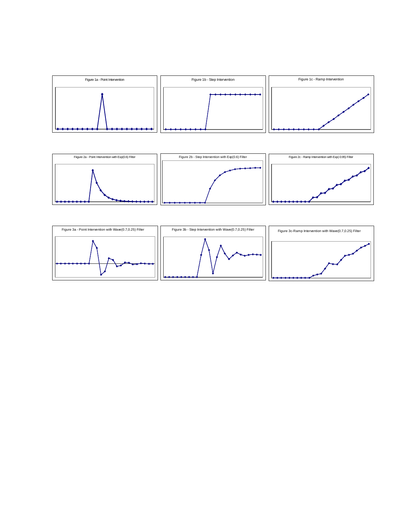



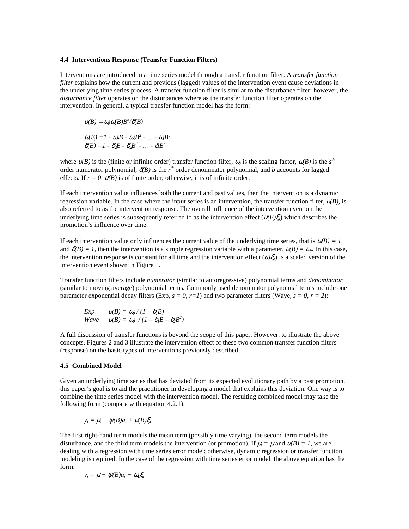#### **4.4 Interventions Response (Transfer Function Filters)**

Interventions are introduced in a time series model through a transfer function filter. A *transfer function filter* explains how the current and previous (lagged) values of the intervention event cause deviations in the underlying time series process. A transfer function filter is similar to the disturbance filter; however, the *disturbance filter* operates on the disturbances where as the transfer function filter operates on the intervention. In general, a typical transfer function model has the form:

 $u(B) = \omega_0 \omega(B) B^b / \delta(B)$  $\omega(B) = 1 - \omega_1 B - \omega_2 B^2 - \dots - \omega_s B^s$  $\delta \delta(B) = 1 - \delta_1 B - \delta_2 B^2 - \dots - \delta_n B^n$ 

where  $v(B)$  is the (finite or infinite order) transfer function filter,  $\omega_0$  is the scaling factor,  $\omega(B)$  is the  $s<sup>th</sup>$ order numerator polynomial,  $\delta(B)$  is the  $r^{th}$  order denominator polynomial, and *b* accounts for lagged effects. If  $r = 0$ ,  $v(B)$  is of finite order; otherwise, it is of infinite order.

If each intervention value influences both the current and past values, then the intervention is a dynamic regression variable. In the case where the input series is an intervention, the transfer function filter,  $v(B)$ , is also referred to as the intervention response. The overall influence of the intervention event on the underlying time series is subsequently referred to as the intervention effect  $(v(B)\xi)$  which describes the promotion's influence over time.

If each intervention value only influences the current value of the underlying time series, that is  $\alpha(B) = 1$ and  $\delta(B) = I$ , then the intervention is a simple regression variable with a parameter,  $v(B) = \omega_0$ . In this case, the intervention response is constant for all time and the intervention effect  $(a_0\xi)$  is a scaled version of the intervention event shown in Figure 1.

Transfer function filters include *numerator* (similar to autoregressive) polynomial terms and *denominator* (similar to moving average) polynomial terms. Commonly used denominator polynomial terms include one parameter exponential decay filters (Exp,  $s = 0$ ,  $r=1$ ) and two parameter filters (Wave,  $s = 0$ ,  $r = 2$ ):

*Exp*  $v(B) = \omega_0 / (1 - \delta_1 B)$ *Wave*  $v(B) = \omega_0 / (1 - \delta_1 B - \delta_2 B^2)$ 

A full discussion of transfer functions is beyond the scope of this paper. However, to illustrate the above concepts, Figures 2 and 3 illustrate the intervention effect of these two common transfer function filters (response) on the basic types of interventions previously described.

# **4.5 Combined Model**

Given an underlying time series that has deviated from its expected evolutionary path by a past promotion, this paper's goal is to aid the practitioner in developing a model that explains this deviation. One way is to combine the time series model with the intervention model. The resulting combined model may take the following form (compare with equation 4.2.1):

 $y_t = \mu_t + \psi(B)a_t + \psi(B)\xi_t$ 

The first right-hand term models the mean term (possibly time varying), the second term models the disturbance, and the third term models the intervention (or promotion). If  $\mu_t = \mu$  and  $\nu(B) = I$ , we are dealing with a regression with time series error model; otherwise, dynamic regression or transfer function modeling is required. In the case of the regression with time series error model, the above equation has the form:

$$
y_t = \mu + \psi(B)a_t + \omega_0 \xi_t
$$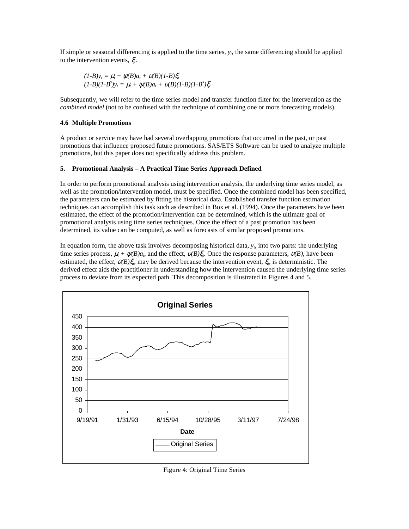If simple or seasonal differencing is applied to the time series,  $y_t$ , the same differencing should be applied to the intervention events, ξ*t*.

$$
(1-B)y_t = \mu_t + \psi(B)a_t + \psi(B)(1-B)\xi_t (1-B)(1-B^s)y_t = \mu_t + \psi(B)a_t + \psi(B)(1-B)(1-B^s)\xi_t
$$

Subsequently, we will refer to the time series model and transfer function filter for the intervention as the *combined model* (not to be confused with the technique of combining one or more forecasting models).

# **4.6 Multiple Promotions**

A product or service may have had several overlapping promotions that occurred in the past, or past promotions that influence proposed future promotions. SAS/ETS Software can be used to analyze multiple promotions, but this paper does not specifically address this problem.

# **5. Promotional Analysis – A Practical Time Series Approach Defined**

In order to perform promotional analysis using intervention analysis, the underlying time series model, as well as the promotion/intervention model, must be specified. Once the combined model has been specified, the parameters can be estimated by fitting the historical data. Established transfer function estimation techniques can accomplish this task such as described in Box et al. (1994). Once the parameters have been estimated, the effect of the promotion/intervention can be determined, which is the ultimate goal of promotional analysis using time series techniques. Once the effect of a past promotion has been determined, its value can be computed, as well as forecasts of similar proposed promotions.

In equation form, the above task involves decomposing historical data,  $y_t$ , into two parts: the underlying time series process,  $\mu_t + \psi(B)a_t$ , and the effect,  $\nu(B)\xi_t$ . Once the response parameters,  $\nu(B)$ , have been estimated, the effec*t*, υ*(B)*ξ*t*, may be derived because the intervention event, ξ*t*, is deterministic. The derived effec*t* aids the practitioner in understanding how the intervention caused the underlying time series process to deviate from its expected path. This decomposition is illustrated in Figures 4 and 5.



Figure 4: Original Time Series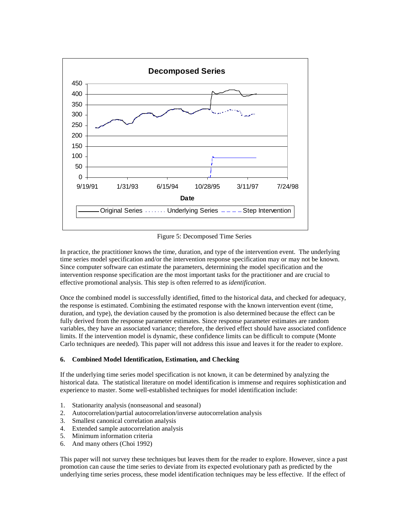

Figure 5: Decomposed Time Series

In practice, the practitioner knows the time, duration, and type of the intervention event. The underlying time series model specification and/or the intervention response specification may or may not be known. Since computer software can estimate the parameters, determining the model specification and the intervention response specification are the most important tasks for the practitioner and are crucial to effective promotional analysis. This step is often referred to as *identification*.

Once the combined model is successfully identified, fitted to the historical data, and checked for adequacy, the response is estimated. Combining the estimated response with the known intervention event (time, duration, and type), the deviation caused by the promotion is also determined because the effect can be fully derived from the response parameter estimates. Since response parameter estimates are random variables, they have an associated variance; therefore, the derived effect should have associated confidence limits. If the intervention model is dynamic, these confidence limits can be difficult to compute (Monte Carlo techniques are needed). This paper will not address this issue and leaves it for the reader to explore.

#### **6. Combined Model Identification, Estimation, and Checking**

If the underlying time series model specification is not known, it can be determined by analyzing the historical data. The statistical literature on model identification is immense and requires sophistication and experience to master. Some well-established techniques for model identification include:

- 1. Stationarity analysis (nonseasonal and seasonal)
- 2. Autocorrelation/partial autocorrelation/inverse autocorrelation analysis
- 3. Smallest canonical correlation analysis
- 4. Extended sample autocorrelation analysis
- 5. Minimum information criteria
- 6. And many others (Choi 1992)

This paper will not survey these techniques but leaves them for the reader to explore. However, since a past promotion can cause the time series to deviate from its expected evolutionary path as predicted by the underlying time series process, these model identification techniques may be less effective. If the effect of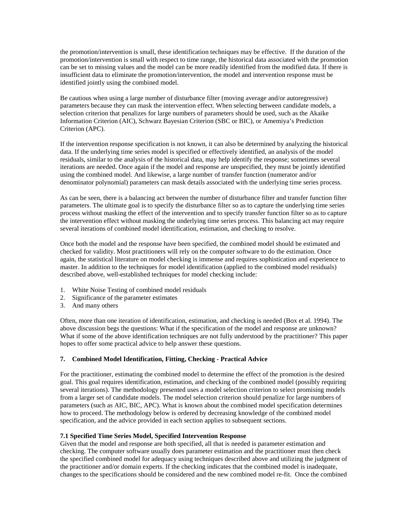the promotion/intervention is small, these identification techniques may be effective. If the duration of the promotion/intervention is small with respect to time range, the historical data associated with the promotion can be set to missing values and the model can be more readily identified from the modified data. If there is insufficient data to eliminate the promotion/intervention, the model and intervention response must be identified jointly using the combined model.

Be cautious when using a large number of disturbance filter (moving average and/or autoregressive) parameters because they can mask the intervention effect. When selecting between candidate models, a selection criterion that penalizes for large numbers of parameters should be used, such as the Akaike Information Criterion (AIC), Schwarz Bayesian Criterion (SBC or BIC), or Amemiya's Prediction Criterion (APC).

If the intervention response specification is not known, it can also be determined by analyzing the historical data. If the underlying time series model is specified or effectively identified, an analysis of the model residuals, similar to the analysis of the historical data, may help identify the response; sometimes several iterations are needed. Once again if the model and response are unspecified, they must be jointly identified using the combined model. And likewise, a large number of transfer function (numerator and/or denominator polynomial) parameters can mask details associated with the underlying time series process.

As can be seen, there is a balancing act between the number of disturbance filter and transfer function filter parameters. The ultimate goal is to specify the disturbance filter so as to capture the underlying time series process without masking the effect of the intervention and to specify transfer function filter so as to capture the intervention effect without masking the underlying time series process. This balancing act may require several iterations of combined model identification, estimation, and checking to resolve.

Once both the model and the response have been specified, the combined model should be estimated and checked for validity. Most practitioners will rely on the computer software to do the estimation. Once again, the statistical literature on model checking is immense and requires sophistication and experience to master. In addition to the techniques for model identification (applied to the combined model residuals) described above, well-established techniques for model checking include:

- 1. White Noise Testing of combined model residuals
- 2. Significance of the parameter estimates
- 3. And many others

Often, more than one iteration of identification, estimation, and checking is needed (Box et al. 1994). The above discussion begs the questions: What if the specification of the model and response are unknown? What if some of the above identification techniques are not fully understood by the practitioner? This paper hopes to offer some practical advice to help answer these questions.

# **7. Combined Model Identification, Fitting, Checking - Practical Advice**

For the practitioner, estimating the combined model to determine the effect of the promotion is the desired goal. This goal requires identification, estimation, and checking of the combined model (possibly requiring several iterations). The methodology presented uses a model selection criterion to select promising models from a larger set of candidate models. The model selection criterion should penalize for large numbers of parameters (such as AIC, BIC, APC). What is known about the combined model specification determines how to proceed. The methodology below is ordered by decreasing knowledge of the combined model specification, and the advice provided in each section applies to subsequent sections.

#### **7.1 Specified Time Series Model, Specified Intervention Response**

Given that the model and response are both specified, all that is needed is parameter estimation and checking. The computer software usually does parameter estimation and the practitioner must then check the specified combined model for adequacy using techniques described above and utilizing the judgment of the practitioner and/or domain experts. If the checking indicates that the combined model is inadequate, changes to the specifications should be considered and the new combined model re-fit. Once the combined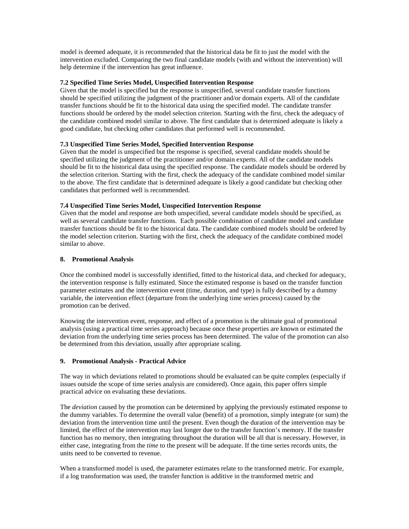model is deemed adequate, it is recommended that the historical data be fit to just the model with the intervention excluded. Comparing the two final candidate models (with and without the intervention) will help determine if the intervention has great influence.

# **7.2 Specified Time Series Model, Unspecified Intervention Response**

Given that the model is specified but the response is unspecified, several candidate transfer functions should be specified utilizing the judgment of the practitioner and/or domain experts. All of the candidate transfer functions should be fit to the historical data using the specified model. The candidate transfer functions should be ordered by the model selection criterion. Starting with the first, check the adequacy of the candidate combined model similar to above. The first candidate that is determined adequate is likely a good candidate, but checking other candidates that performed well is recommended.

# **7.3 Unspecified Time Series Model, Specified Intervention Response**

Given that the model is unspecified but the response is specified, several candidate models should be specified utilizing the judgment of the practitioner and/or domain experts. All of the candidate models should be fit to the historical data using the specified response. The candidate models should be ordered by the selection criterion. Starting with the first, check the adequacy of the candidate combined model similar to the above. The first candidate that is determined adequate is likely a good candidate but checking other candidates that performed well is recommended.

# **7.4 Unspecified Time Series Model, Unspecified Intervention Response**

Given that the model and response are both unspecified, several candidate models should be specified, as well as several candidate transfer functions. Each possible combination of candidate model and candidate transfer functions should be fit to the historical data. The candidate combined models should be ordered by the model selection criterion. Starting with the first, check the adequacy of the candidate combined model similar to above.

# **8. Promotional Analysis**

Once the combined model is successfully identified, fitted to the historical data, and checked for adequacy, the intervention response is fully estimated. Since the estimated response is based on the transfer function parameter estimates and the intervention event (time, duration, and type) is fully described by a dummy variable, the intervention effect (departure from the underlying time series process) caused by the promotion can be derived.

Knowing the intervention event, response, and effect of a promotion is the ultimate goal of promotional analysis (using a practical time series approach) because once these properties are known or estimated the deviation from the underlying time series process has been determined. The value of the promotion can also be determined from this deviation, usually after appropriate scaling.

# **9. Promotional Analysis - Practical Advice**

The way in which deviations related to promotions should be evaluated can be quite complex (especially if issues outside the scope of time series analysis are considered). Once again, this paper offers simple practical advice on evaluating these deviations.

The *deviation* caused by the promotion can be determined by applying the previously estimated response to the dummy variables. To determine the overall value (benefit) of a promotion, simply integrate (or sum) the deviation from the intervention time until the present. Even though the duration of the intervention may be limited, the effect of the intervention may last longer due to the transfer function's memory. If the transfer function has no memory, then integrating throughout the duration will be all that is necessary. However, in either case, integrating from the *time* to the present will be adequate. If the time series records units, the units need to be converted to revenue.

When a transformed model is used, the parameter estimates relate to the transformed metric. For example, if a log transformation was used, the transfer function is additive in the transformed metric and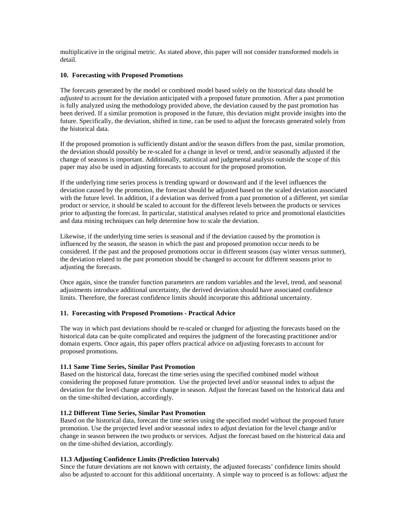multiplicative in the original metric. As stated above, this paper will not consider transformed models in detail.

# **10. Forecasting with Proposed Promotions**

The forecasts generated by the model or combined model based solely on the historical data should be *adjusted* to account for the deviation anticipated with a proposed future promotion. After a past promotion is fully analyzed using the methodology provided above, the deviation caused by the past promotion has been derived. If a similar promotion is proposed in the future, this deviation might provide insights into the future. Specifically, the deviation, shifted in time, can be used to adjust the forecasts generated solely from the historical data.

If the proposed promotion is sufficiently distant and/or the season differs from the past, similar promotion, the deviation should possibly be re-scaled for a change in level or trend, and/or seasonally adjusted if the change of seasons is important. Additionally, statistical and judgmental analysis outside the scope of this paper may also be used in adjusting forecasts to account for the proposed promotion.

If the underlying time series process is trending upward or downward and if the level influences the deviation caused by the promotion, the forecast should be adjusted based on the scaled deviation associated with the future level. In addition, if a deviation was derived from a past promotion of a different, yet similar product or service, it should be scaled to account for the different levels between the products or services prior to adjusting the forecast. In particular, statistical analyses related to price and promotional elasticities and data mining techniques can help determine how to scale the deviation.

Likewise, if the underlying time series is seasonal and if the deviation caused by the promotion is influenced by the season, the season in which the past and proposed promotion occur needs to be considered. If the past and the proposed promotions occur in different seasons (say winter versus summer), the deviation related to the past promotion should be changed to account for different seasons prior to adjusting the forecasts.

Once again, since the transfer function parameters are random variables and the level, trend, and seasonal adjustments introduce additional uncertainty, the derived deviation should have associated confidence limits. Therefore, the forecast confidence limits should incorporate this additional uncertainty.

#### **11. Forecasting with Proposed Promotions - Practical Advice**

The way in which past deviations should be re-scaled or changed for adjusting the forecasts based on the historical data can be quite complicated and requires the judgment of the forecasting practitioner and/or domain experts. Once again, this paper offers practical advice on adjusting forecasts to account for proposed promotions.

#### **11.1 Same Time Series, Similar Past Promotion**

Based on the historical data, forecast the time series using the specified combined model without considering the proposed future promotion. Use the projected level and/or seasonal index to adjust the deviation for the level change and/or change in season. Adjust the forecast based on the historical data and on the time-shifted deviation, accordingly.

#### **11.2 Different Time Series, Similar Past Promotion**

Based on the historical data, forecast the time series using the specified model without the proposed future promotion. Use the projected level and/or seasonal index to adjust deviation for the level change and/or change in season between the two products or services. Adjust the forecast based on the historical data and on the time-shifted deviation, accordingly.

# **11.3 Adjusting Confidence Limits (Prediction Intervals)**

Since the future deviations are not known with certainty, the adjusted forecasts' confidence limits should also be adjusted to account for this additional uncertainty. A simple way to proceed is as follows: adjust the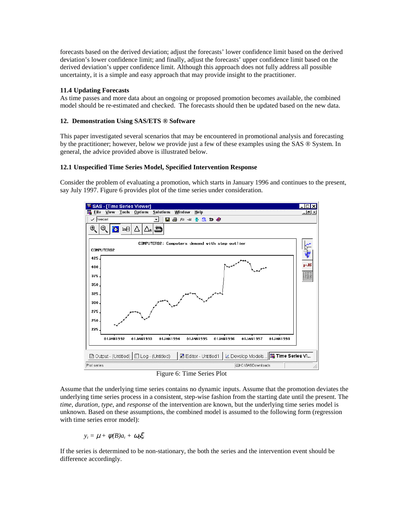forecasts based on the derived deviation; adjust the forecasts' lower confidence limit based on the derived deviation's lower confidence limit; and finally, adjust the forecasts' upper confidence limit based on the derived deviation's upper confidence limit. Although this approach does not fully address all possible uncertainty, it is a simple and easy approach that may provide insight to the practitioner.

# **11.4 Updating Forecasts**

As time passes and more data about an ongoing or proposed promotion becomes available, the combined model should be re-estimated and checked. The forecasts should then be updated based on the new data.

# **12. Demonstration Using SAS/ETS ® Software**

This paper investigated several scenarios that may be encountered in promotional analysis and forecasting by the practitioner; however, below we provide just a few of these examples using the SAS ® System. In general, the advice provided above is illustrated below.

# **12.1 Unspecified Time Series Model, Specified Intervention Response**

Consider the problem of evaluating a promotion, which starts in January 1996 and continues to the present, say July 1997. Figure 6 provides plot of the time series under consideration.



Figure 6: Time Series Plot

Assume that the underlying time series contains no dynamic inputs. Assume that the promotion deviates the underlying time series process in a consistent, step-wise fashion from the starting date until the present. The *time*, *duration*, *type*, and *response* of the intervention are known, but the underlying time series model is unknown. Based on these assumptions, the combined model is assumed to the following form (regression with time series error model):

 $y_t = \mu + \psi(B)a_t + \omega_0 \xi_t$ 

If the series is determined to be non-stationary, the both the series and the intervention event should be difference accordingly.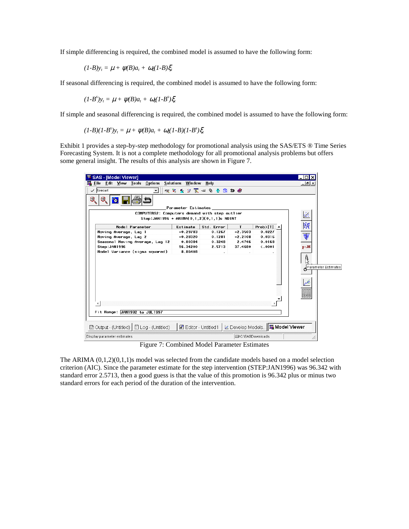If simple differencing is required, the combined model is assumed to have the following form:

$$
(1-B)y_t = \mu + \psi(B)a_t + \omega_0(1-B)\xi_t
$$

If seasonal differencing is required, the combined model is assumed to have the following form:

$$
(1-Bs)yt = \mu + \psi(B)at + \omega_0(1-Bs)\xi_t
$$

If simple and seasonal differencing is required, the combined model is assumed to have the following form:

$$
(1-B)(1-B^s)y_t = \mu + \psi(B)a_t + \omega_0(1-B)(1-B^s)\xi_t
$$

Exhibit 1 provides a step-by-step methodology for promotional analysis using the SAS/ETS ® Time Series Forecasting System. It is not a complete methodology for all promotional analysis problems but offers some general insight. The results of this analysis are shown in Figure 7.

| SAS - [Model Viewer]                                 |                       |                       |           |                                    |                                                   |  |
|------------------------------------------------------|-----------------------|-----------------------|-----------|------------------------------------|---------------------------------------------------|--|
| <b>Eile Edit View Tools Options</b>                  | Solutions Window Help |                       |           |                                    | 그리즈                                               |  |
| $\checkmark$ forecast                                |                       | ※ 2 多 3 下 4 9 号 白 5 ◆ |           |                                    |                                                   |  |
| 0.<br>$\bullet$                                      | Parameter Estimates   |                       |           |                                    |                                                   |  |
| COMPUTERS2: Computers demand with step outlier       |                       |                       |           |                                    |                                                   |  |
| Step:JAN1996 + ARIMA(0,1,2)(0,1,1)s NOINT            |                       |                       |           |                                    | Ķ,                                                |  |
| Model Parameter                                      | Estimate              | Std. Error            | T.        | $Prob$ $\mid$ T $\mid$             | H4                                                |  |
| Moving Average, Lag 1                                | $-0.29783$            | 0.1267                | $-2.3503$ | 0.0227                             |                                                   |  |
| Moving Average, Lag 2                                | $-0.28320$            | 0.1281                | $-2.2108$ | 0.0316                             | ₹                                                 |  |
| Seasonal Moving Average, Lag 12                      | 0.80384               | 0.3248                | 2.4746    | 0.0168                             |                                                   |  |
| Step:JAN1996                                         | 96.34200              | 2.5713                | 37.4680   | $\zeta$ .0001                      | $p = 05$                                          |  |
| Model Variance (sigma squared)                       | 8.86408               |                       |           |                                    |                                                   |  |
|                                                      |                       |                       |           |                                    | ĝ<br>Parameter Estimates<br>عكم<br>a and one have |  |
| Fit Range: JAN1992 to JUL1997                        |                       |                       |           |                                    |                                                   |  |
|                                                      |                       |                       |           |                                    |                                                   |  |
| 圖 Output - (Untitled)   <i></i> [E] Log - (Untitled) |                       | 圖 Editor - Untitled1  |           | Le Develop Models   E Model Viewer |                                                   |  |
|                                                      |                       |                       |           |                                    |                                                   |  |

Figure 7: Combined Model Parameter Estimates

The ARIMA  $(0,1,2)(0,1,1)$ s model was selected from the candidate models based on a model selection criterion (AIC). Since the parameter estimate for the step intervention (STEP:JAN1996) was 96.342 with standard error 2.5713, then a good guess is that the value of this promotion is 96.342 plus or minus two standard errors for each period of the duration of the intervention.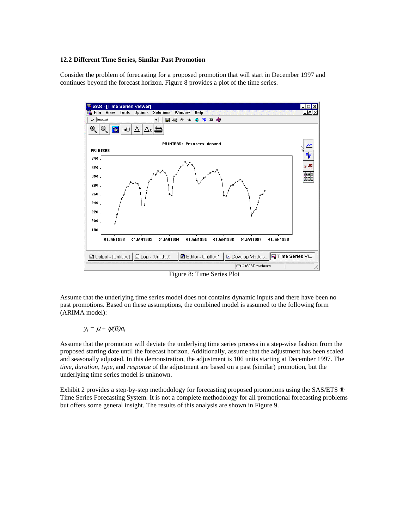#### **12.2 Different Time Series, Similar Past Promotion**

Consider the problem of forecasting for a proposed promotion that will start in December 1997 and continues beyond the forecast horizon. Figure 8 provides a plot of the time series.



Figure 8: Time Series Plot

Assume that the underlying time series model does not contains dynamic inputs and there have been no past promotions. Based on these assumptions, the combined model is assumed to the following form (ARIMA model):

 $y_t = \mu + \psi(B)a_t$ 

Assume that the promotion will deviate the underlying time series process in a step-wise fashion from the proposed starting date until the forecast horizon. Additionally, assume that the adjustment has been scaled and seasonally adjusted. In this demonstration, the adjustment is 106 units starting at December 1997. The *time*, *duration*, *type*, and *response* of the adjustment are based on a past (similar) promotion, but the underlying time series model is unknown.

Exhibit 2 provides a step-by-step methodology for forecasting proposed promotions using the SAS/ETS ® Time Series Forecasting System. It is not a complete methodology for all promotional forecasting problems but offers some general insight. The results of this analysis are shown in Figure 9.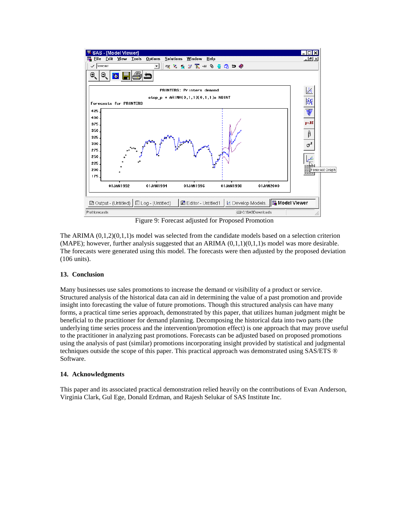

Figure 9: Forecast adjusted for Proposed Promotion

The ARIMA  $(0,1,2)(0,1,1)$ s model was selected from the candidate models based on a selection criterion  $(MAPE)$ ; however, further analysis suggested that an ARIMA  $(0,1,1)(0,1,1)$ s model was more desirable. The forecasts were generated using this model. The forecasts were then adjusted by the proposed deviation (106 units).

# **13. Conclusion**

Many businesses use sales promotions to increase the demand or visibility of a product or service. Structured analysis of the historical data can aid in determining the value of a past promotion and provide insight into forecasting the value of future promotions. Though this structured analysis can have many forms, a practical time series approach, demonstrated by this paper, that utilizes human judgment might be beneficial to the practitioner for demand planning. Decomposing the historical data into two parts (the underlying time series process and the intervention/promotion effect) is one approach that may prove useful to the practitioner in analyzing past promotions. Forecasts can be adjusted based on proposed promotions using the analysis of past (similar) promotions incorporating insight provided by statistical and judgmental techniques outside the scope of this paper. This practical approach was demonstrated using SAS/ETS ® Software.

# **14. Acknowledgments**

This paper and its associated practical demonstration relied heavily on the contributions of Evan Anderson, Virginia Clark, Gul Ege, Donald Erdman, and Rajesh Selukar of SAS Institute Inc.